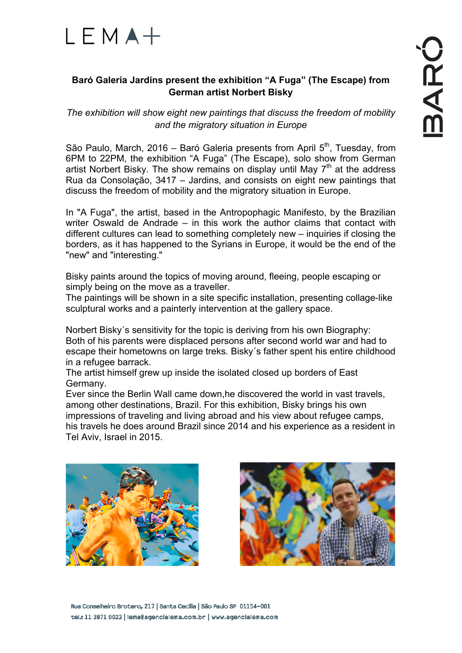

## **Baró Galeria Jardins present the exhibition "A Fuga" (The Escape) from German artist Norbert Bisky**

*The exhibition will show eight new paintings that discuss the freedom of mobility and the migratory situation in Europe*

São Paulo, March, 2016 – Baró Galeria presents from April  $5<sup>th</sup>$ , Tuesday, from 6PM to 22PM, the exhibition "A Fuga" (The Escape), solo show from German artist Norbert Bisky. The show remains on display until May  $7<sup>th</sup>$  at the address Rua da Consolação, 3417 – Jardins, and consists on eight new paintings that discuss the freedom of mobility and the migratory situation in Europe.

In "A Fuga", the artist, based in the Antropophagic Manifesto, by the Brazilian writer Oswald de Andrade – in this work the author claims that contact with different cultures can lead to something completely new – inquiries if closing the borders, as it has happened to the Syrians in Europe, it would be the end of the "new" and "interesting."

Bisky paints around the topics of moving around, fleeing, people escaping or simply being on the move as a traveller.

The paintings will be shown in a site specific installation, presenting collage-like sculptural works and a painterly intervention at the gallery space.

Norbert Bisky´s sensitivity for the topic is deriving from his own Biography: Both of his parents were displaced persons after second world war and had to escape their hometowns on large treks. Bisky´s father spent his entire childhood in a refugee barrack.

The artist himself grew up inside the isolated closed up borders of East Germany.

Ever since the Berlin Wall came down,he discovered the world in vast travels, among other destinations, Brazil. For this exhibition, Bisky brings his own impressions of traveling and living abroad and his view about refugee camps, his travels he does around Brazil since 2014 and his experience as a resident in Tel Aviv, Israel in 2015.